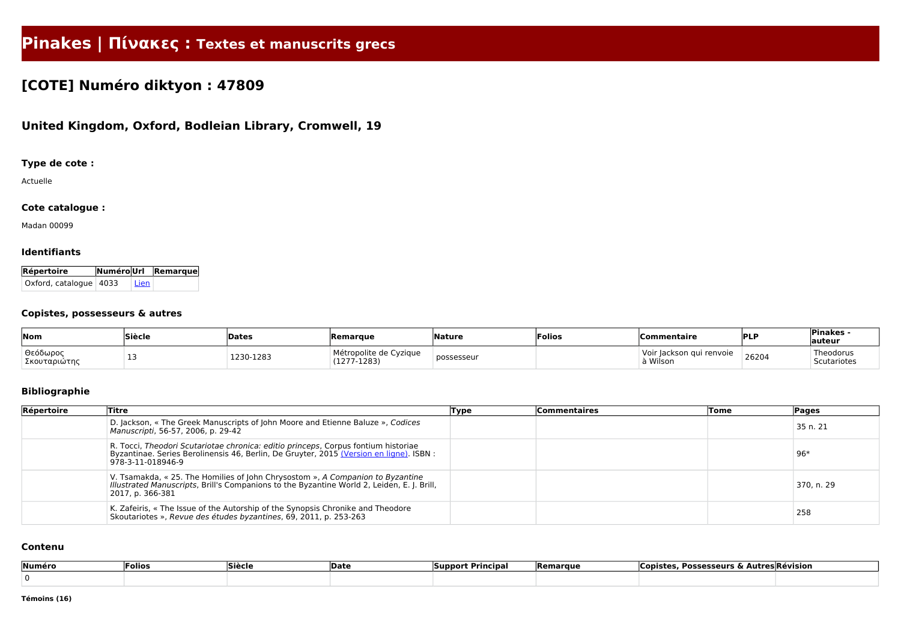# **Pinakes | Πίνακες : Textes et manuscrits grecs**

## **[COTE] Numéro diktyon : 47809**

### **United Kingdom, Oxford, Bodleian Library, Cromwell, 19**

#### **Type de cote :**

Actuelle

#### **Cote catalogue :**

Madan 00099

#### **Identifiants**

| Répertoire               |        | NuméroUrl Remarque |
|--------------------------|--------|--------------------|
| Oxford, catalogue   4033 | ' Lien |                    |

#### **Copistes, possesseurs & autres**

| Nom                      | <sup>'</sup> Siècle | Dates     | <b>IRemarque</b>                        | <b>Nature</b> | Folios | Commentaire                                 | PLP   | <b>Pinakes</b><br>auteur |
|--------------------------|---------------------|-----------|-----------------------------------------|---------------|--------|---------------------------------------------|-------|--------------------------|
| Θεόδωρος<br>Σκουταριώτης | .                   | 1230-1283 | Métropolite de Cyzique<br>$(1277-1283)$ | possesseur    |        | ackson qui<br>Voir<br>i renvoie<br>à Wilson | 26204 | Theodorus<br>Scutariotes |

#### **Bibliographie**

| Répertoire | Titre                                                                                                                                                                                              | Type | <b>Commentaires</b> | Tome | Pages      |
|------------|----------------------------------------------------------------------------------------------------------------------------------------------------------------------------------------------------|------|---------------------|------|------------|
|            | D. Jackson, « The Greek Manuscripts of John Moore and Etienne Baluze », Codices<br>Manuscripti, 56-57, 2006, p. 29-42                                                                              |      |                     |      | 35 n. 21   |
|            | R. Tocci, Theodori Scutariotae chronica: editio princeps, Corpus fontium historiae<br>Byzantinae. Series Berolinensis 46, Berlin, De Gruyter, 2015 (Version en ligne). ISBN :<br>978-3-11-018946-9 |      |                     |      | $96*$      |
|            | V. Tsamakda, « 25. The Homilies of John Chrysostom », A Companion to Byzantine<br>Illustrated Manuscripts, Brill's Companions to the Byzantine World 2, Leiden, E. J. Brill,<br>2017, p. 366-381   |      |                     |      | 370, n. 29 |
|            | K. Zafeiris, « The Issue of the Autorship of the Synopsis Chronike and Theodore<br>Skoutariotes », Revue des études byzantines, 69, 2011, p. 253-263                                               |      |                     |      | 258        |

#### **Contenu**

| Numéro | <b>Folios</b> | <b>Siècle</b> | 'Date | ` Principa <sub>r</sub><br><b>Support</b> | <b>Remarque</b> | , Possesseurs & Autres Révision_<br><b>Copister</b> |  |
|--------|---------------|---------------|-------|-------------------------------------------|-----------------|-----------------------------------------------------|--|
|        |               |               |       |                                           |                 |                                                     |  |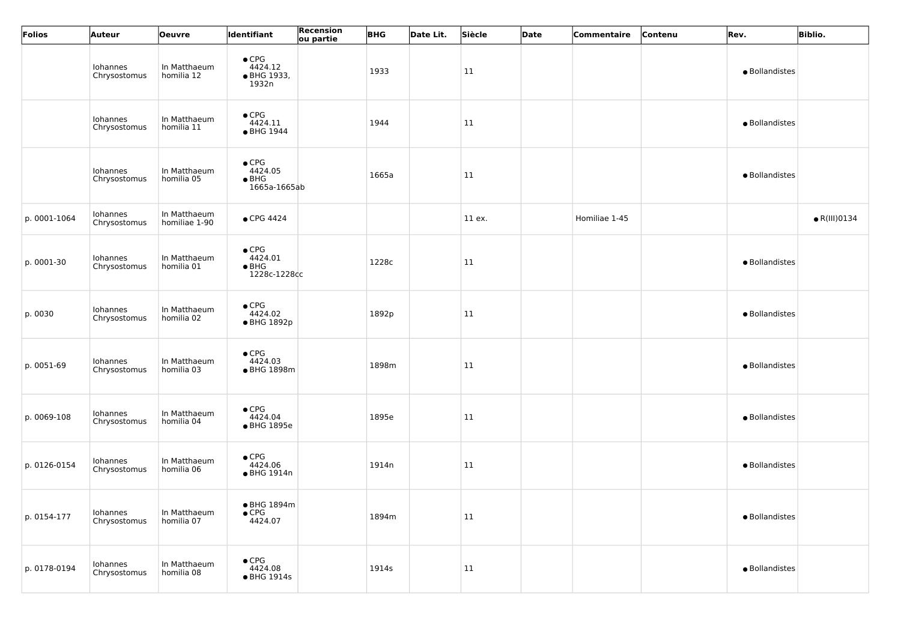| Folios       | <b>Auteur</b>            | Oeuvre                        | ldentifiant                                               | Recension<br>ou partie | <b>BHG</b> | Date Lit. | Siècle     | Date | Commentaire   | Contenu | Rev.           | <b>Biblio.</b>       |
|--------------|--------------------------|-------------------------------|-----------------------------------------------------------|------------------------|------------|-----------|------------|------|---------------|---------|----------------|----------------------|
|              | Iohannes<br>Chrysostomus | In Matthaeum<br>homilia 12    | $\bullet$ CPG<br>4424.12<br>• BHG 1933,<br>1932n          |                        | 1933       |           | 11         |      |               |         | · Bollandistes |                      |
|              | Iohannes<br>Chrysostomus | In Matthaeum<br>homilia 11    | $\bullet$ CPG<br>4424.11<br>• BHG 1944                    |                        | 1944       |           | 11         |      |               |         | · Bollandistes |                      |
|              | Iohannes<br>Chrysostomus | In Matthaeum<br>homilia 05    | $\bullet$ CPG<br>4424.05<br>$\bullet$ BHG<br>1665a-1665ab |                        | 1665a      |           | 11         |      |               |         | · Bollandistes |                      |
| p. 0001-1064 | Iohannes<br>Chrysostomus | In Matthaeum<br>homiliae 1-90 | $\bullet$ CPG 4424                                        |                        |            |           | 11 ex.     |      | Homiliae 1-45 |         |                | $\bullet$ R(III)0134 |
| p. 0001-30   | Iohannes<br>Chrysostomus | In Matthaeum<br>homilia 01    | $\bullet$ CPG<br>4424.01<br>$\bullet$ BHG<br>1228c-1228cc |                        | 1228c      |           | 11         |      |               |         | · Bollandistes |                      |
| p. 0030      | Iohannes<br>Chrysostomus | In Matthaeum<br>homilia 02    | $\bullet$ CPG<br>4424.02<br>• BHG 1892p                   |                        | 1892p      |           | 11         |      |               |         | · Bollandistes |                      |
| p. 0051-69   | Iohannes<br>Chrysostomus | In Matthaeum<br>homilia 03    | $\bullet$ CPG<br>4424.03<br>• BHG 1898m                   |                        | 1898m      |           | 11         |      |               |         | · Bollandistes |                      |
| p. 0069-108  | Iohannes<br>Chrysostomus | In Matthaeum<br>homilia 04    | $\bullet$ CPG<br>4424.04<br>• BHG 1895e                   |                        | 1895e      |           | $\vert$ 11 |      |               |         | · Bollandistes |                      |
| p. 0126-0154 | Iohannes<br>Chrysostomus | In Matthaeum<br>homilia 06    | $\bullet$ CPG<br>4424.06<br>• BHG 1914n                   |                        | 1914n      |           | 11         |      |               |         | · Bollandistes |                      |
| p. 0154-177  | Iohannes<br>Chrysostomus | In Matthaeum<br>homilia 07    | ● BHG 1894m<br>$\bullet$ CPG<br>4424.07                   |                        | 1894m      |           | 11         |      |               |         | · Bollandistes |                      |
| p. 0178-0194 | Iohannes<br>Chrysostomus | In Matthaeum<br>homilia 08    | $\bullet$ CPG<br>4424.08<br>• BHG 1914s                   |                        | 1914s      |           | 11         |      |               |         | · Bollandistes |                      |